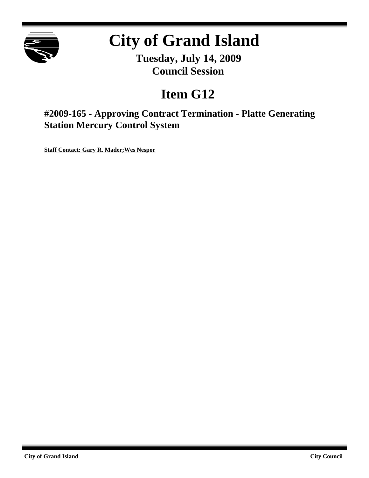

# **City of Grand Island**

**Tuesday, July 14, 2009 Council Session**

## **Item G12**

**#2009-165 - Approving Contract Termination - Platte Generating Station Mercury Control System**

**Staff Contact: Gary R. Mader;Wes Nespor**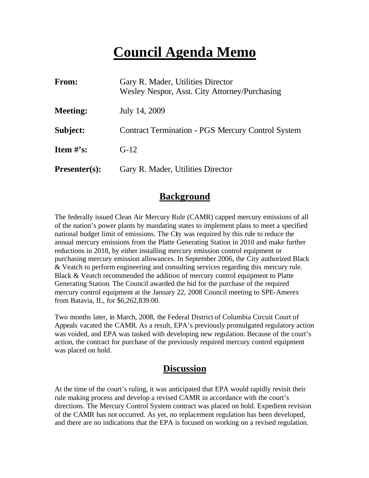### **Council Agenda Memo**

| From:                | Gary R. Mader, Utilities Director<br>Wesley Nespor, Asst. City Attorney/Purchasing |
|----------------------|------------------------------------------------------------------------------------|
| <b>Meeting:</b>      | July 14, 2009                                                                      |
| Subject:             | <b>Contract Termination - PGS Mercury Control System</b>                           |
| Item $\#$ 's:        | $G-12$                                                                             |
| <b>Presenter(s):</b> | Gary R. Mader, Utilities Director                                                  |

#### **Background**

The federally issued Clean Air Mercury Rule (CAMR) capped mercury emissions of all of the nation's power plants by mandating states to implement plans to meet a specified national budget limit of emissions. The City was required by this rule to reduce the annual mercury emissions from the Platte Generating Station in 2010 and make further reductions in 2018, by either installing mercury emission control equipment or purchasing mercury emission allowances. In September 2006, the City authorized Black & Veatch to perform engineering and consulting services regarding this mercury rule. Black & Veatch recommended the addition of mercury control equipment to Platte Generating Station. The Council awarded the bid for the purchase of the required mercury control equipment at the January 22, 2008 Council meeting to SPE-Amerex from Batavia, IL, for \$6,262,839.00.

Two months later, in March, 2008, the Federal District of Columbia Circuit Court of Appeals vacated the CAMR. As a result, EPA's previously promulgated regulatory action was voided, and EPA was tasked with developing new regulation. Because of the court's action, the contract for purchase of the previously required mercury control equipment was placed on hold.

#### **Discussion**

At the time of the court's ruling, it was anticipated that EPA would rapidly revisit their rule making process and develop a revised CAMR in accordance with the court's directions. The Mercury Control System contract was placed on hold. Expedient revision of the CAMR has not occurred. As yet, no replacement regulation has been developed, and there are no indications that the EPA is focused on working on a revised regulation.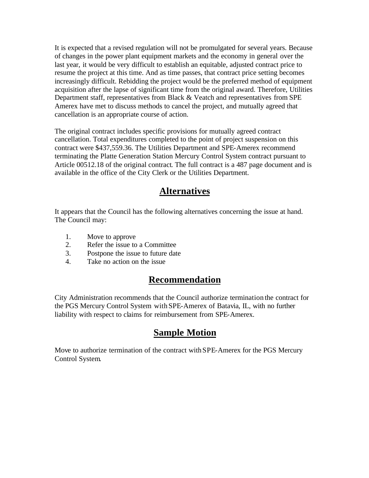It is expected that a revised regulation will not be promulgated for several years. Because of changes in the power plant equipment markets and the economy in general over the last year, it would be very difficult to establish an equitable, adjusted contract price to resume the project at this time. And as time passes, that contract price setting becomes increasingly difficult. Rebidding the project would be the preferred method of equipment acquisition after the lapse of significant time from the original award. Therefore, Utilities Department staff, representatives from Black & Veatch and representatives from SPE Amerex have met to discuss methods to cancel the project, and mutually agreed that cancellation is an appropriate course of action.

The original contract includes specific provisions for mutually agreed contract cancellation. Total expenditures completed to the point of project suspension on this contract were \$437,559.36. The Utilities Department and SPE-Amerex recommend terminating the Platte Generation Station Mercury Control System contract pursuant to Article 00512.18 of the original contract. The full contract is a 487 page document and is available in the office of the City Clerk or the Utilities Department.

#### **Alternatives**

It appears that the Council has the following alternatives concerning the issue at hand. The Council may:

- 1. Move to approve
- 2. Refer the issue to a Committee
- 3. Postpone the issue to future date
- 4. Take no action on the issue

#### **Recommendation**

City Administration recommends that the Council authorize termination the contract for the PGS Mercury Control System with SPE-Amerex of Batavia, IL, with no further liability with respect to claims for reimbursement from SPE-Amerex.

### **Sample Motion**

Move to authorize termination of the contract withSPE-Amerex for the PGS Mercury Control System.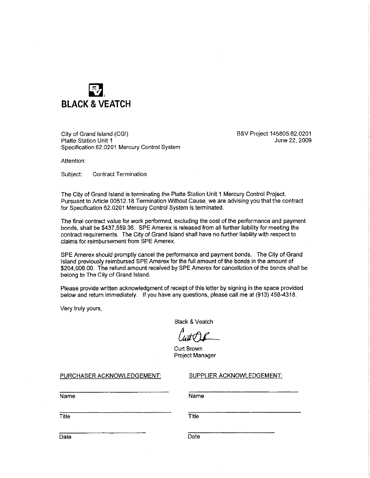

City of Grand Island (CGI) Platte Station Unit 1 Specification 62.0201 Mercury Control System B&V Project 145805.62.0201 June 22, 2009

Attention:

Subject: **Contract Termination** 

The City of Grand Island is terminating the Platte Station Unit 1 Mercury Control Project. Pursuant to Article 00512.18 Termination Without Cause, we are advising you that the contract for Specification 62.0201 Mercury Control System is terminated.

The final contract value for work performed, excluding the cost of the performance and payment bonds, shall be \$437,559.36. SPE Amerex is released from all further liability for meeting the contract requirements. The City of Grand Island shall have no further liability with respect to claims for reimbursement from SPE Amerex.

SPE Amerex should promptly cancel the performance and payment bonds. The City of Grand Island previously reimbursed SPE Amerex for the full amount of the bonds in the amount of \$204,006,00. The refund amount received by SPE Amerex for cancellation of the bonds shall be belong to The City of Grand Island.

Please provide written acknowledgment of receipt of this letter by signing in the space provided below and return immediately. If you have any questions, please call me at (913) 458-4318.

Very truly yours,

**Black & Veatch** 

Curt Brown Project Manager

PURCHASER ACKNOWLEDGEMENT:

SUPPLIER ACKNOWLEDGEMENT:

Name

**Name** 

Title

Title

**Date** 

Date